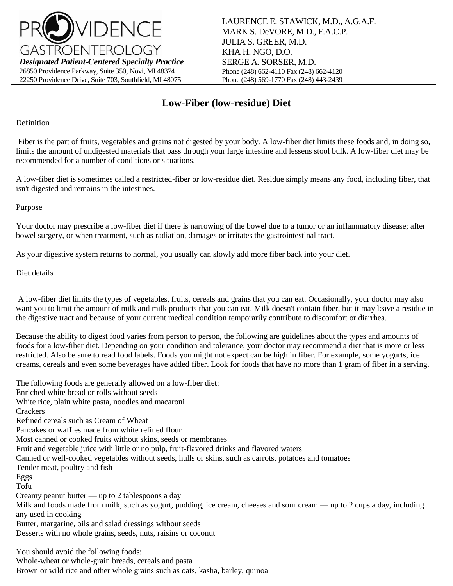

LAURENCE E. STAWICK, M.D., A.G.A.F. MARK S. DeVORE, M.D., F.A.C.P. JULIA S. GREER, M.D. KHA H. NGO, D.O. SERGE A. SORSER, M.D. Phone (248) 662-4110 Fax (248) 662-4120 Phone (248) 569-1770 Fax (248) 443-2439

## **Low-Fiber (low-residue) Diet**

Definition

Fiber is the part of fruits, vegetables and grains not digested by your body. A low-fiber diet limits these foods and, in doing so, limits the amount of undigested materials that pass through your large intestine and lessens stool bulk. A low-fiber diet may be recommended for a number of conditions or situations.

A low-fiber diet is sometimes called a restricted-fiber or low-residue diet. Residue simply means any food, including fiber, that isn't digested and remains in the intestines.

Purpose

Your doctor may prescribe a low-fiber diet if there is narrowing of the bowel due to a tumor or an inflammatory disease; after bowel surgery, or when treatment, such as radiation, damages or irritates the gastrointestinal tract.

As your digestive system returns to normal, you usually can slowly add more fiber back into your diet.

Diet details

A low-fiber diet limits the types of vegetables, fruits, cereals and grains that you can eat. Occasionally, your doctor may also want you to limit the amount of milk and milk products that you can eat. Milk doesn't contain fiber, but it may leave a residue in the digestive tract and because of your current medical condition temporarily contribute to discomfort or diarrhea.

Because the ability to digest food varies from person to person, the following are guidelines about the types and amounts of foods for a low-fiber diet. Depending on your condition and tolerance, your doctor may recommend a diet that is more or less restricted. Also be sure to read food labels. Foods you might not expect can be high in fiber. For example, some yogurts, ice creams, cereals and even some beverages have added fiber. Look for foods that have no more than 1 gram of fiber in a serving.

The following foods are generally allowed on a low-fiber diet: Enriched white bread or rolls without seeds White rice, plain white pasta, noodles and macaroni **Crackers** Refined cereals such as Cream of Wheat Pancakes or waffles made from white refined flour Most canned or cooked fruits without skins, seeds or membranes Fruit and vegetable juice with little or no pulp, fruit-flavored drinks and flavored waters Canned or well-cooked vegetables without seeds, hulls or skins, such as carrots, potatoes and tomatoes Tender meat, poultry and fish Eggs Tofu Creamy peanut butter — up to 2 tablespoons a day Milk and foods made from milk, such as yogurt, pudding, ice cream, cheeses and sour cream — up to 2 cups a day, including any used in cooking Butter, margarine, oils and salad dressings without seeds Desserts with no whole grains, seeds, nuts, raisins or coconut

You should avoid the following foods:

Whole-wheat or whole-grain breads, cereals and pasta

Brown or wild rice and other whole grains such as oats, kasha, barley, quinoa